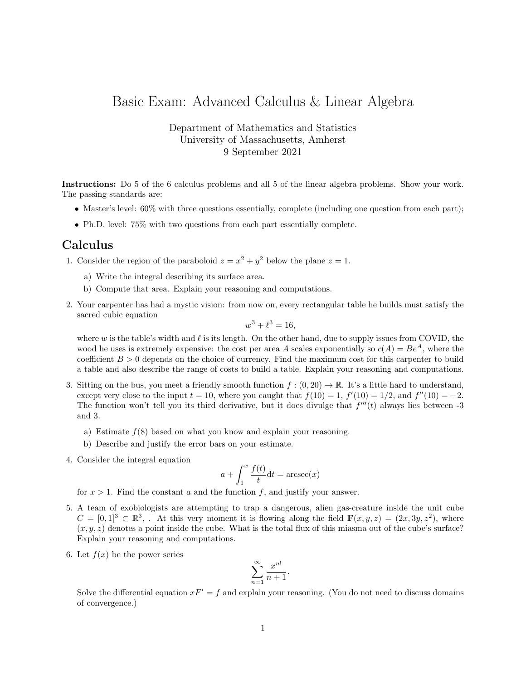## Basic Exam: Advanced Calculus & Linear Algebra

Department of Mathematics and Statistics University of Massachusetts, Amherst 9 September 2021

Instructions: Do 5 of the 6 calculus problems and all 5 of the linear algebra problems. Show your work. The passing standards are:

- Master's level:  $60\%$  with three questions essentially, complete (including one question from each part);
- Ph.D. level: 75% with two questions from each part essentially complete.

## Calculus

- 1. Consider the region of the paraboloid  $z = x^2 + y^2$  below the plane  $z = 1$ .
	- a) Write the integral describing its surface area.
	- b) Compute that area. Explain your reasoning and computations.
- 2. Your carpenter has had a mystic vision: from now on, every rectangular table he builds must satisfy the sacred cubic equation

$$
w^3 + \ell^3 = 16,
$$

where w is the table's width and  $\ell$  is its length. On the other hand, due to supply issues from COVID, the wood he uses is extremely expensive: the cost per area A scales exponentially so  $c(A) = Be^A$ , where the coefficient  $B > 0$  depends on the choice of currency. Find the maximum cost for this carpenter to build a table and also describe the range of costs to build a table. Explain your reasoning and computations.

- 3. Sitting on the bus, you meet a friendly smooth function  $f : (0, 20) \to \mathbb{R}$ . It's a little hard to understand, except very close to the input  $t = 10$ , where you caught that  $f(10) = 1$ ,  $f'(10) = 1/2$ , and  $f''(10) = -2$ . The function won't tell you its third derivative, but it does divulge that  $f'''(t)$  always lies between -3 and 3.
	- a) Estimate  $f(8)$  based on what you know and explain your reasoning.
	- b) Describe and justify the error bars on your estimate.
- 4. Consider the integral equation

$$
a + \int_1^x \frac{f(t)}{t} dt = \operatorname{arcsec}(x)
$$

for  $x > 1$ . Find the constant a and the function f, and justify your answer.

- 5. A team of exobiologists are attempting to trap a dangerous, alien gas-creature inside the unit cube  $C = [0,1]^3 \subset \mathbb{R}^3$ , At this very moment it is flowing along the field  $\mathbf{F}(x, y, z) = (2x, 3y, z^2)$ , where  $(x, y, z)$  denotes a point inside the cube. What is the total flux of this miasma out of the cube's surface? Explain your reasoning and computations.
- 6. Let  $f(x)$  be the power series

$$
\sum_{n=1}^{\infty} \frac{x^{n!}}{n+1}.
$$

Solve the differential equation  $xF' = f$  and explain your reasoning. (You do not need to discuss domains of convergence.)